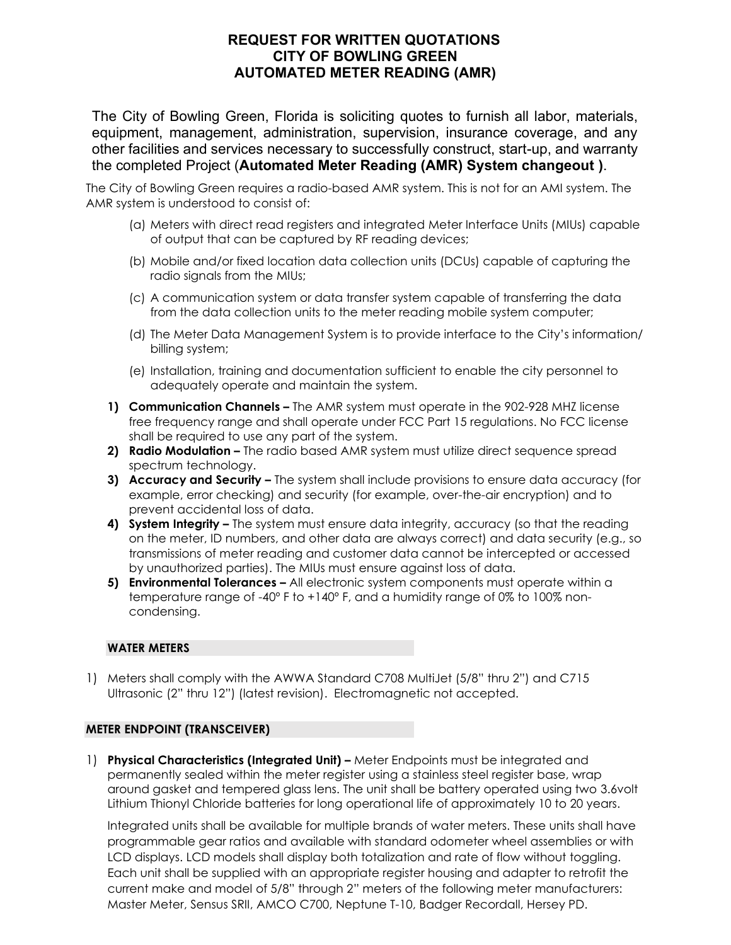# **REQUEST FOR WRITTEN QUOTATIONS CITY OF BOWLING GREEN AUTOMATED METER READING (AMR)**

The City of Bowling Green, Florida is soliciting quotes to furnish all labor, materials, equipment, management, administration, supervision, insurance coverage, and any other facilities and services necessary to successfully construct, start-up, and warranty the completed Project (**Automated Meter Reading (AMR) System changeout )**.

The City of Bowling Green requires a radio-based AMR system. This is not for an AMI system. The AMR system is understood to consist of:

- (a) Meters with direct read registers and integrated Meter Interface Units (MIUs) capable of output that can be captured by RF reading devices;
- (b) Mobile and/or fixed location data collection units (DCUs) capable of capturing the radio signals from the MIUs;
- (c) A communication system or data transfer system capable of transferring the data from the data collection units to the meter reading mobile system computer;
- (d) The Meter Data Management System is to provide interface to the City's information/ billing system;
- (e) Installation, training and documentation sufficient to enable the city personnel to adequately operate and maintain the system.
- **1) Communication Channels –** The AMR system must operate in the 902-928 MHZ license free frequency range and shall operate under FCC Part 15 regulations. No FCC license shall be required to use any part of the system.
- **2) Radio Modulation –** The radio based AMR system must utilize direct sequence spread spectrum technology.
- **3) Accuracy and Security –** The system shall include provisions to ensure data accuracy (for example, error checking) and security (for example, over-the-air encryption) and to prevent accidental loss of data.
- **4) System Integrity –** The system must ensure data integrity, accuracy (so that the reading on the meter, ID numbers, and other data are always correct) and data security (e.g., so transmissions of meter reading and customer data cannot be intercepted or accessed by unauthorized parties). The MIUs must ensure against loss of data.
- **5) Environmental Tolerances –** All electronic system components must operate within a temperature range of -40º F to +140º F, and a humidity range of 0% to 100% noncondensing.

# **WATER METERS**

1) Meters shall comply with the AWWA Standard C708 MultiJet (5/8" thru 2") and C715 Ultrasonic (2" thru 12") (latest revision). Electromagnetic not accepted.

# **METER ENDPOINT (TRANSCEIVER)**

1) **Physical Characteristics (Integrated Unit) –** Meter Endpoints must be integrated and permanently sealed within the meter register using a stainless steel register base, wrap around gasket and tempered glass lens. The unit shall be battery operated using two 3.6volt Lithium Thionyl Chloride batteries for long operational life of approximately 10 to 20 years.

Integrated units shall be available for multiple brands of water meters. These units shall have programmable gear ratios and available with standard odometer wheel assemblies or with LCD displays. LCD models shall display both totalization and rate of flow without toggling. Each unit shall be supplied with an appropriate register housing and adapter to retrofit the current make and model of 5/8" through 2" meters of the following meter manufacturers: Master Meter, Sensus SRII, AMCO C700, Neptune T-10, Badger Recordall, Hersey PD.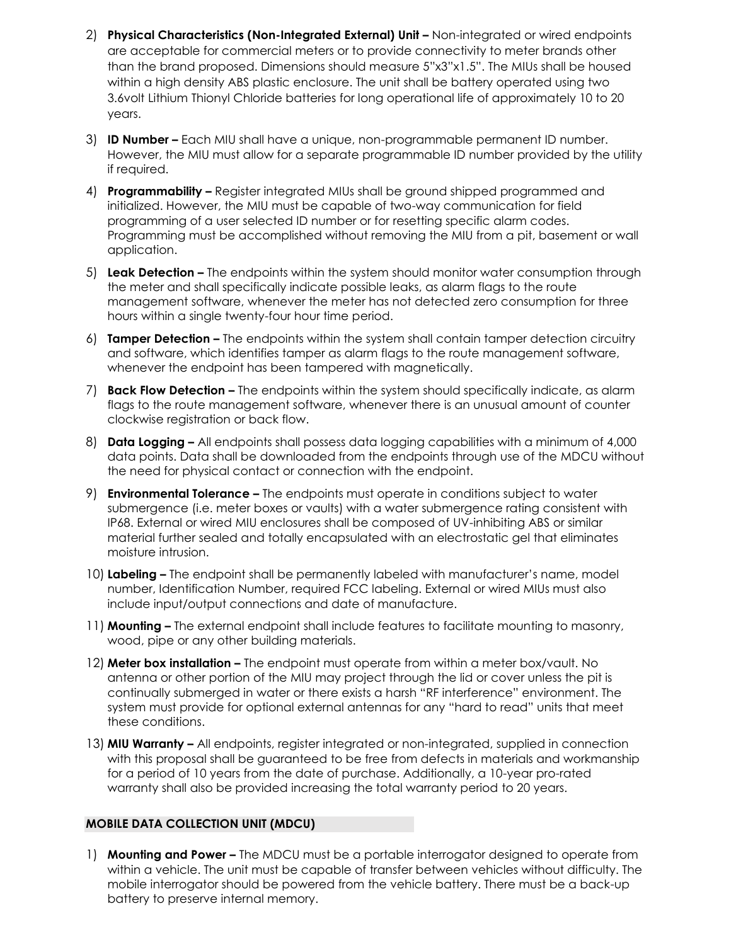- 2) **Physical Characteristics (Non-Integrated External) Unit Non-integrated or wired endpoints** are acceptable for commercial meters or to provide connectivity to meter brands other than the brand proposed. Dimensions should measure 5"x3"x1.5". The MIUs shall be housed within a high density ABS plastic enclosure. The unit shall be battery operated using two 3.6volt Lithium Thionyl Chloride batteries for long operational life of approximately 10 to 20 years.
- 3) **ID Number –** Each MIU shall have a unique, non-programmable permanent ID number. However, the MIU must allow for a separate programmable ID number provided by the utility if required.
- 4) **Programmability –** Register integrated MIUs shall be ground shipped programmed and initialized. However, the MIU must be capable of two-way communication for field programming of a user selected ID number or for resetting specific alarm codes. Programming must be accomplished without removing the MIU from a pit, basement or wall application.
- 5) **Leak Detection –** The endpoints within the system should monitor water consumption through the meter and shall specifically indicate possible leaks, as alarm flags to the route management software, whenever the meter has not detected zero consumption for three hours within a single twenty-four hour time period.
- 6) **Tamper Detection –** The endpoints within the system shall contain tamper detection circuitry and software, which identifies tamper as alarm flags to the route management software, whenever the endpoint has been tampered with magnetically.
- 7) **Back Flow Detection –** The endpoints within the system should specifically indicate, as alarm flags to the route management software, whenever there is an unusual amount of counter clockwise registration or back flow.
- 8) **Data Logging –** All endpoints shall possess data logging capabilities with a minimum of 4,000 data points. Data shall be downloaded from the endpoints through use of the MDCU without the need for physical contact or connection with the endpoint.
- 9) **Environmental Tolerance –** The endpoints must operate in conditions subject to water submergence (i.e. meter boxes or vaults) with a water submergence rating consistent with IP68. External or wired MIU enclosures shall be composed of UV-inhibiting ABS or similar material further sealed and totally encapsulated with an electrostatic gel that eliminates moisture intrusion.
- 10) **Labeling –** The endpoint shall be permanently labeled with manufacturer's name, model number, Identification Number, required FCC labeling. External or wired MIUs must also include input/output connections and date of manufacture.
- 11) **Mounting –** The external endpoint shall include features to facilitate mounting to masonry, wood, pipe or any other building materials.
- 12) **Meter box installation –** The endpoint must operate from within a meter box/vault. No antenna or other portion of the MIU may project through the lid or cover unless the pit is continually submerged in water or there exists a harsh "RF interference" environment. The system must provide for optional external antennas for any "hard to read" units that meet these conditions.
- 13) **MIU Warranty –** All endpoints, register integrated or non-integrated, supplied in connection with this proposal shall be guaranteed to be free from defects in materials and workmanship for a period of 10 years from the date of purchase. Additionally, a 10-year pro-rated warranty shall also be provided increasing the total warranty period to 20 years.

# **MOBILE DATA COLLECTION UNIT (MDCU)**

1) **Mounting and Power –** The MDCU must be a portable interrogator designed to operate from within a vehicle. The unit must be capable of transfer between vehicles without difficulty. The mobile interrogator should be powered from the vehicle battery. There must be a back-up battery to preserve internal memory.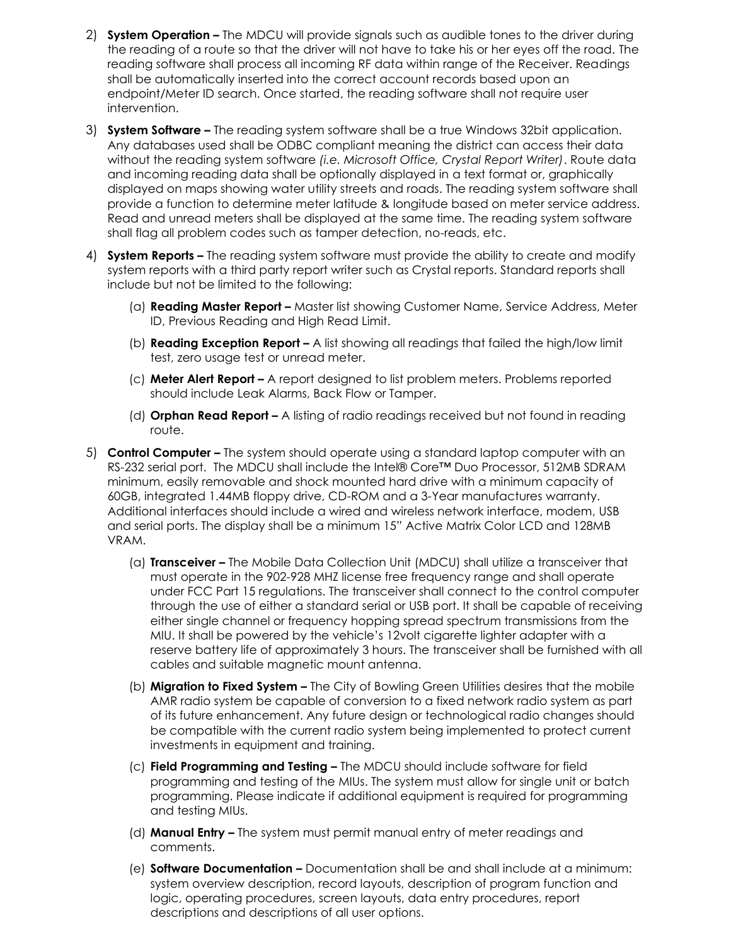- 2) **System Operation –** The MDCU will provide signals such as audible tones to the driver during the reading of a route so that the driver will not have to take his or her eyes off the road. The reading software shall process all incoming RF data within range of the Receiver. Readings shall be automatically inserted into the correct account records based upon an endpoint/Meter ID search. Once started, the reading software shall not require user intervention.
- 3) **System Software –** The reading system software shall be a true Windows 32bit application. Any databases used shall be ODBC compliant meaning the district can access their data without the reading system software *(i.e. Microsoft Office, Crystal Report Writer)*. Route data and incoming reading data shall be optionally displayed in a text format or, graphically displayed on maps showing water utility streets and roads. The reading system software shall provide a function to determine meter latitude & longitude based on meter service address. Read and unread meters shall be displayed at the same time. The reading system software shall flag all problem codes such as tamper detection, no-reads, etc.
- 4) **System Reports –** The reading system software must provide the ability to create and modify system reports with a third party report writer such as Crystal reports. Standard reports shall include but not be limited to the following:
	- (a) **Reading Master Report –** Master list showing Customer Name, Service Address, Meter ID, Previous Reading and High Read Limit.
	- (b) **Reading Exception Report –** A list showing all readings that failed the high/low limit test, zero usage test or unread meter.
	- (c) **Meter Alert Report –** A report designed to list problem meters. Problems reported should include Leak Alarms, Back Flow or Tamper.
	- (d) **Orphan Read Report –** A listing of radio readings received but not found in reading route.
- 5) **Control Computer –** The system should operate using a standard laptop computer with an RS-232 serial port. The MDCU shall include the Intel® Core™ Duo Processor, 512MB SDRAM minimum, easily removable and shock mounted hard drive with a minimum capacity of 60GB, integrated 1.44MB floppy drive, CD-ROM and a 3-Year manufactures warranty. Additional interfaces should include a wired and wireless network interface, modem, USB and serial ports. The display shall be a minimum 15" Active Matrix Color LCD and 128MB VRAM.
	- (a) **Transceiver –** The Mobile Data Collection Unit (MDCU) shall utilize a transceiver that must operate in the 902-928 MHZ license free frequency range and shall operate under FCC Part 15 regulations. The transceiver shall connect to the control computer through the use of either a standard serial or USB port. It shall be capable of receiving either single channel or frequency hopping spread spectrum transmissions from the MIU. It shall be powered by the vehicle's 12volt cigarette lighter adapter with a reserve battery life of approximately 3 hours. The transceiver shall be furnished with all cables and suitable magnetic mount antenna.
	- (b) **Migration to Fixed System –** The City of Bowling Green Utilities desires that the mobile AMR radio system be capable of conversion to a fixed network radio system as part of its future enhancement. Any future design or technological radio changes should be compatible with the current radio system being implemented to protect current investments in equipment and training.
	- (c) **Field Programming and Testing –** The MDCU should include software for field programming and testing of the MIUs. The system must allow for single unit or batch programming. Please indicate if additional equipment is required for programming and testing MIUs.
	- (d) **Manual Entry –** The system must permit manual entry of meter readings and comments.
	- (e) **Software Documentation –** Documentation shall be and shall include at a minimum: system overview description, record layouts, description of program function and logic, operating procedures, screen layouts, data entry procedures, report descriptions and descriptions of all user options.